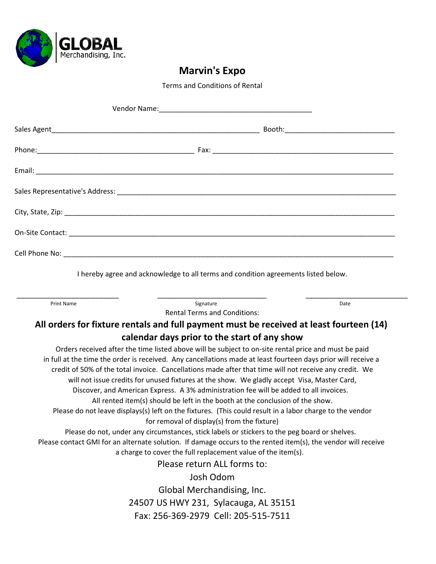

Terms and Conditions of Rental

| Vendor Name: William School and Changes and Changes and Changes and Changes and Changes and Changes and Changes and Changes and Changes and Changes and Changes and Changes and Changes and Changes and Changes and Changes an |
|--------------------------------------------------------------------------------------------------------------------------------------------------------------------------------------------------------------------------------|
|                                                                                                                                                                                                                                |
|                                                                                                                                                                                                                                |
|                                                                                                                                                                                                                                |
|                                                                                                                                                                                                                                |
|                                                                                                                                                                                                                                |
|                                                                                                                                                                                                                                |
|                                                                                                                                                                                                                                |
| I hereby agree and acknowledge to all terms and condition agreements listed below.                                                                                                                                             |
| Signature<br>Print Name<br>Date<br><b>Rental Terms and Conditions:</b>                                                                                                                                                         |
| All orders for fixture rentals and full payment must be received at least fourteen (14)                                                                                                                                        |
| calendar days prior to the start of any show                                                                                                                                                                                   |
| Orders received after the time listed above will be subject to on-site rental price and must be paid                                                                                                                           |
| in full at the time the order is received. Any cancellations made at least fourteen days prior will receive a<br>credit of 50% of the total invoice. Cancellations made after that time will not receive any credit. We        |
| will not issue credits for unused fixtures at the show. We gladly accept Visa, Master Card,                                                                                                                                    |
| Discover, and American Express. A 3% administration fee will be added to all invoices.                                                                                                                                         |
| All rented item(s) should be left in the booth at the conclusion of the show.                                                                                                                                                  |
| Please do not leave displays(s) left on the fixtures. (This could result in a labor charge to the vendor                                                                                                                       |
| for removal of display(s) from the fixture)                                                                                                                                                                                    |
| Please do not, under any circumstances, stick labels or stickers to the peg board or shelves.                                                                                                                                  |
| Please contact GMI for an alternate solution. If damage occurs to the rented item(s), the vendor will receive                                                                                                                  |
| a charge to cover the full replacement value of the item(s).                                                                                                                                                                   |
| Please return ALL forms to:                                                                                                                                                                                                    |
| Josh Odom                                                                                                                                                                                                                      |
| Global Merchandising, Inc.                                                                                                                                                                                                     |
| 24507 US HWY 231, Sylacauga, AL 35151                                                                                                                                                                                          |
| Fax: 256-369-2979 Cell: 205-515-7511                                                                                                                                                                                           |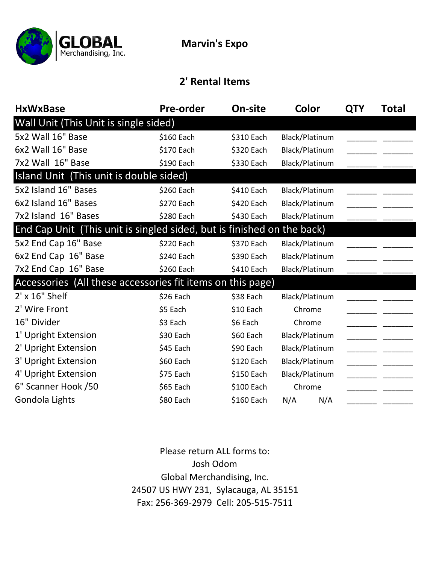

#### **2' Rental Items**

| <b>HxWxBase</b>                                                        | <b>Pre-order</b> | On-site    | Color          | <b>QTY</b> | Total |
|------------------------------------------------------------------------|------------------|------------|----------------|------------|-------|
| Wall Unit (This Unit is single sided)                                  |                  |            |                |            |       |
| 5x2 Wall 16" Base                                                      | \$160 Each       | \$310 Each | Black/Platinum |            |       |
| 6x2 Wall 16" Base                                                      | \$170 Each       | \$320 Each | Black/Platinum |            |       |
| 7x2 Wall 16" Base                                                      | \$190 Each       | \$330 Each | Black/Platinum |            |       |
| Island Unit (This unit is double sided)                                |                  |            |                |            |       |
| 5x2 Island 16" Bases                                                   | \$260 Each       | \$410 Each | Black/Platinum |            |       |
| 6x2 Island 16" Bases                                                   | \$270 Each       | \$420 Each | Black/Platinum |            |       |
| 7x2 Island 16" Bases                                                   | \$280 Each       | \$430 Each | Black/Platinum |            |       |
| End Cap Unit (This unit is singled sided, but is finished on the back) |                  |            |                |            |       |
| 5x2 End Cap 16" Base                                                   | \$220 Each       | \$370 Each | Black/Platinum |            |       |
| 6x2 End Cap 16" Base                                                   | \$240 Each       | \$390 Each | Black/Platinum |            |       |
| 7x2 End Cap 16" Base                                                   | \$260 Each       | \$410 Each | Black/Platinum |            |       |
| Accessories (All these accessories fit items on this page)             |                  |            |                |            |       |
| $2'$ x $16"$ Shelf                                                     | \$26 Each        | \$38 Each  | Black/Platinum |            |       |
| 2' Wire Front                                                          | \$5 Each         | \$10 Each  | Chrome         |            |       |
| 16" Divider                                                            | \$3 Each         | \$6 Each   | Chrome         |            |       |
| 1' Upright Extension                                                   | \$30 Each        | \$60 Each  | Black/Platinum |            |       |
| 2' Upright Extension                                                   | \$45 Each        | \$90 Each  | Black/Platinum |            |       |
| 3' Upright Extension                                                   | \$60 Each        | \$120 Each | Black/Platinum |            |       |
| 4' Upright Extension                                                   | \$75 Each        | \$150 Each | Black/Platinum |            |       |
| 6" Scanner Hook /50                                                    | \$65 Each        | \$100 Each | Chrome         |            |       |
| Gondola Lights                                                         | \$80 Each        | \$160 Each | N/A<br>N/A     |            |       |

Fax: 256‐369‐2979 Cell: 205‐515‐7511 Please return ALL forms to: Josh Odom Global Merchandising, Inc. 24507 US HWY 231, Sylacauga, AL 35151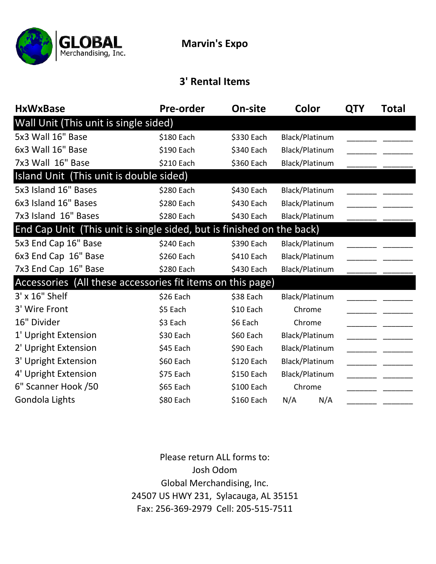

#### **3' Rental Items**

| <b>HxWxBase</b>                                                       | <b>Pre-order</b> | On-site    | Color          | <b>QTY</b> | Total |
|-----------------------------------------------------------------------|------------------|------------|----------------|------------|-------|
| Wall Unit (This unit is single sided)                                 |                  |            |                |            |       |
| 5x3 Wall 16" Base                                                     | \$180 Each       | \$330 Each | Black/Platinum |            |       |
| 6x3 Wall 16" Base                                                     | \$190 Each       | \$340 Each | Black/Platinum |            |       |
| 7x3 Wall 16" Base                                                     | \$210 Each       | \$360 Each | Black/Platinum |            |       |
| Island Unit (This unit is double sided)                               |                  |            |                |            |       |
| 5x3 Island 16" Bases                                                  | \$280 Each       | \$430 Each | Black/Platinum |            |       |
| 6x3 Island 16" Bases                                                  | \$280 Each       | \$430 Each | Black/Platinum |            |       |
| 7x3 Island 16" Bases                                                  | \$280 Each       | \$430 Each | Black/Platinum |            |       |
| End Cap Unit (This unit is single sided, but is finished on the back) |                  |            |                |            |       |
| 5x3 End Cap 16" Base                                                  | \$240 Each       | \$390 Each | Black/Platinum |            |       |
| 6x3 End Cap 16" Base                                                  | \$260 Each       | \$410 Each | Black/Platinum |            |       |
| 7x3 End Cap 16" Base                                                  | \$280 Each       | \$430 Each | Black/Platinum |            |       |
| Accessories (All these accessories fit items on this page)            |                  |            |                |            |       |
| 3' x 16" Shelf                                                        | \$26 Each        | \$38 Each  | Black/Platinum |            |       |
| 3' Wire Front                                                         | \$5 Each         | \$10 Each  | Chrome         |            |       |
| 16" Divider                                                           | \$3 Each         | \$6 Each   | Chrome         |            |       |
| 1' Upright Extension                                                  | \$30 Each        | \$60 Each  | Black/Platinum |            |       |
| 2' Upright Extension                                                  | \$45 Each        | \$90 Each  | Black/Platinum |            |       |
| 3' Upright Extension                                                  | \$60 Each        | \$120 Each | Black/Platinum |            |       |
| 4' Upright Extension                                                  | \$75 Each        | \$150 Each | Black/Platinum |            |       |
| 6" Scanner Hook /50                                                   | \$65 Each        | \$100 Each | Chrome         |            |       |
| Gondola Lights                                                        | \$80 Each        | \$160 Each | N/A<br>N/A     |            |       |

Fax: 256‐369‐2979 Cell: 205‐515‐7511 Please return ALL forms to: Josh Odom Global Merchandising, Inc. 24507 US HWY 231, Sylacauga, AL 35151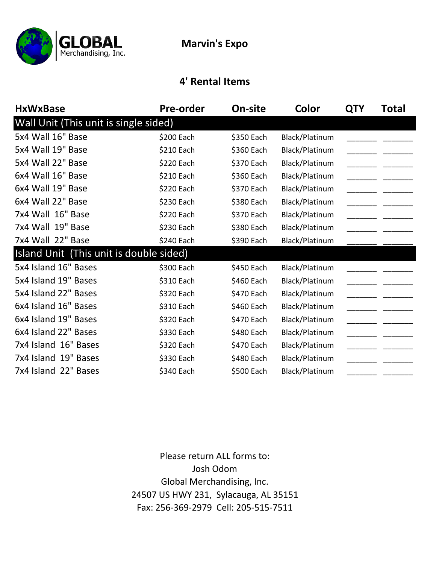

#### **4' Rental Items**

| <b>HxWxBase</b>                         | <b>Pre-order</b> | On-site    | Color          | <b>QTY</b> | Total |
|-----------------------------------------|------------------|------------|----------------|------------|-------|
| Wall Unit (This unit is single sided)   |                  |            |                |            |       |
| 5x4 Wall 16" Base                       | \$200 Each       | \$350 Each | Black/Platinum |            |       |
| 5x4 Wall 19" Base                       | \$210 Each       | \$360 Each | Black/Platinum |            |       |
| 5x4 Wall 22" Base                       | \$220 Each       | \$370 Each | Black/Platinum |            |       |
| 6x4 Wall 16" Base                       | \$210 Each       | \$360 Each | Black/Platinum |            |       |
| 6x4 Wall 19" Base                       | \$220 Each       | \$370 Each | Black/Platinum |            |       |
| 6x4 Wall 22" Base                       | \$230 Each       | \$380 Each | Black/Platinum |            |       |
| 7x4 Wall 16" Base                       | \$220 Each       | \$370 Each | Black/Platinum |            |       |
| 7x4 Wall 19" Base                       | \$230 Each       | \$380 Each | Black/Platinum |            |       |
| 7x4 Wall 22" Base                       | \$240 Each       | \$390 Each | Black/Platinum |            |       |
| Island Unit (This unit is double sided) |                  |            |                |            |       |
| 5x4 Island 16" Bases                    | \$300 Each       | \$450 Each | Black/Platinum |            |       |
| 5x4 Island 19" Bases                    | \$310 Each       | \$460 Each | Black/Platinum |            |       |
| 5x4 Island 22" Bases                    | \$320 Each       | \$470 Each | Black/Platinum |            |       |
| 6x4 Island 16" Bases                    | \$310 Each       | \$460 Each | Black/Platinum |            |       |
| 6x4 Island 19" Bases                    | \$320 Each       | \$470 Each | Black/Platinum |            |       |
| 6x4 Island 22" Bases                    | \$330 Each       | \$480 Each | Black/Platinum |            |       |
| 7x4 Island 16" Bases                    | \$320 Each       | \$470 Each | Black/Platinum |            |       |
| 7x4 Island 19" Bases                    | \$330 Each       | \$480 Each | Black/Platinum |            |       |
| 7x4 Island 22" Bases                    | \$340 Each       | \$500 Each | Black/Platinum |            |       |

Fax: 256‐369‐2979 Cell: 205‐515‐7511 24507 US HWY 231, Sylacauga, AL 35151 Global Merchandising, Inc. Josh Odom Please return ALL forms to: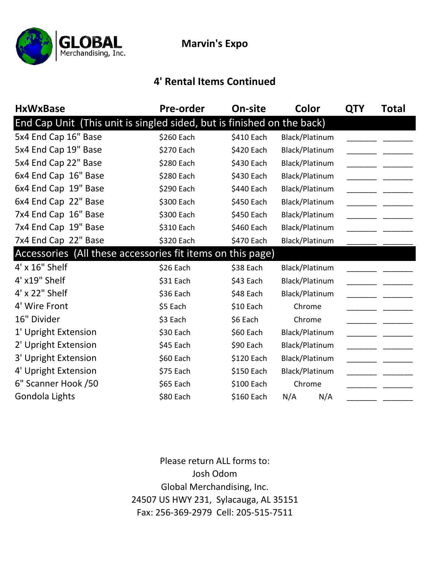

### **4' Rental Items Continued**

| <b>HxWxBase</b>                                                        | <b>Pre-order</b> | On-site    | Color          | <b>QTY</b> | Total |
|------------------------------------------------------------------------|------------------|------------|----------------|------------|-------|
| End Cap Unit (This unit is singled sided, but is finished on the back) |                  |            |                |            |       |
| 5x4 End Cap 16" Base                                                   | \$260 Each       | \$410 Each | Black/Platinum |            |       |
| 5x4 End Cap 19" Base                                                   | \$270 Each       | \$420 Each | Black/Platinum |            |       |
| 5x4 End Cap 22" Base                                                   | \$280 Each       | \$430 Each | Black/Platinum |            |       |
| 6x4 End Cap 16" Base                                                   | \$280 Each       | \$430 Each | Black/Platinum |            |       |
| 6x4 End Cap 19" Base                                                   | \$290 Each       | \$440 Each | Black/Platinum |            |       |
| 6x4 End Cap 22" Base                                                   | \$300 Each       | \$450 Each | Black/Platinum |            |       |
| 7x4 End Cap 16" Base                                                   | \$300 Each       | \$450 Each | Black/Platinum |            |       |
| 7x4 End Cap 19" Base                                                   | \$310 Each       | \$460 Each | Black/Platinum |            |       |
| 7x4 End Cap 22" Base                                                   | \$320 Each       | \$470 Each | Black/Platinum |            |       |
| Accessories (All these accessories fit items on this page)             |                  |            |                |            |       |
| 4' x 16" Shelf                                                         | \$26 Each        | \$38 Each  | Black/Platinum |            |       |
| 4' x19" Shelf                                                          | \$31 Each        | \$43 Each  | Black/Platinum |            |       |
| 4' x 22" Shelf                                                         | \$36 Each        | \$48 Each  | Black/Platinum |            |       |
| 4' Wire Front                                                          | \$5 Each         | \$10 Each  | Chrome         |            |       |
| 16" Divider                                                            | \$3 Each         | \$6 Each   | Chrome         |            |       |
| 1' Upright Extension                                                   | \$30 Each        | \$60 Each  | Black/Platinum |            |       |
| 2' Upright Extension                                                   | \$45 Each        | \$90 Each  | Black/Platinum |            |       |
| 3' Upright Extension                                                   | \$60 Each        | \$120 Each | Black/Platinum |            |       |
| 4' Upright Extension                                                   | \$75 Each        | \$150 Each | Black/Platinum |            |       |
| 6" Scanner Hook /50                                                    | \$65 Each        | \$100 Each | Chrome         |            |       |
| Gondola Lights                                                         | \$80 Each        | \$160 Each | N/A<br>N/A     |            |       |

Fax: 256‐369‐2979 Cell: 205‐515‐7511 Please return ALL forms to: Josh Odom Global Merchandising, Inc. 24507 US HWY 231, Sylacauga, AL 35151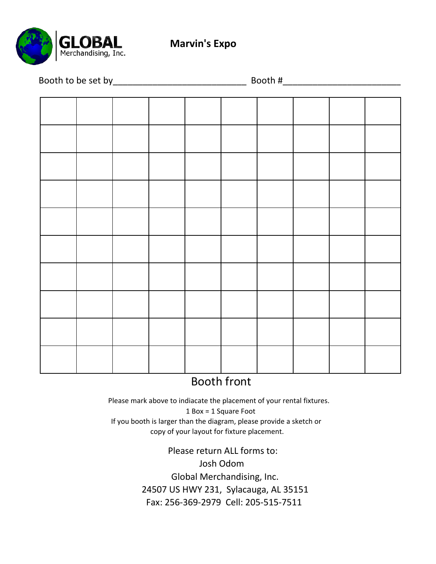

|  |  |  | Booth #_ | <u> 1989 - Johann Barnett, fransk politiker</u> |  |
|--|--|--|----------|-------------------------------------------------|--|
|  |  |  |          |                                                 |  |
|  |  |  |          |                                                 |  |
|  |  |  |          |                                                 |  |
|  |  |  |          |                                                 |  |
|  |  |  |          |                                                 |  |
|  |  |  |          |                                                 |  |
|  |  |  |          |                                                 |  |
|  |  |  |          |                                                 |  |
|  |  |  |          |                                                 |  |
|  |  |  |          |                                                 |  |
|  |  |  |          |                                                 |  |
|  |  |  |          |                                                 |  |
|  |  |  |          |                                                 |  |
|  |  |  |          |                                                 |  |
|  |  |  |          |                                                 |  |
|  |  |  |          |                                                 |  |
|  |  |  |          |                                                 |  |
|  |  |  |          |                                                 |  |
|  |  |  |          |                                                 |  |
|  |  |  |          |                                                 |  |

## Booth front

 1 Box = 1 Square Foot If you booth is larger than the diagram, please provide a sketch or copy of your layout for fixture placement. Please mark above to indiacate the placement of your rental fixtures.

> Fax: 256‐369‐2979 Cell: 205‐515‐7511 24507 US HWY 231, Sylacauga, AL 35151 Global Merchandising, Inc. Josh Odom Please return ALL forms to: